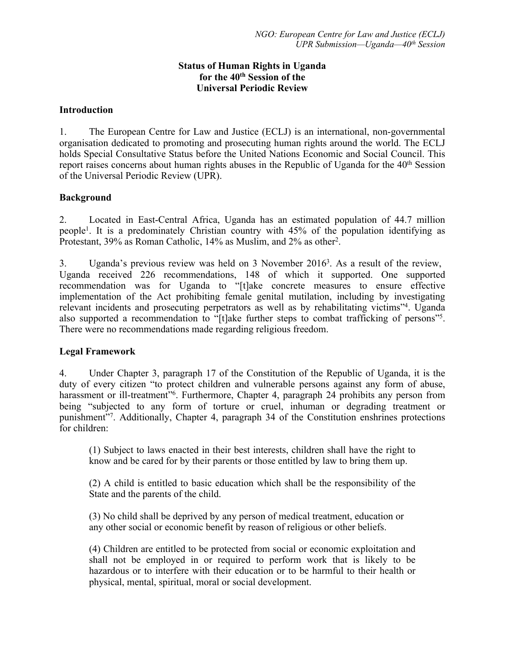#### **Status of Human Rights in Uganda for the 40th Session of the Universal Periodic Review**

#### **Introduction**

1. The European Centre for Law and Justice (ECLJ) is an international, non-governmental organisation dedicated to promoting and prosecuting human rights around the world. The ECLJ holds Special Consultative Status before the United Nations Economic and Social Council. This report raises concerns about human rights abuses in the Republic of Uganda for the  $40<sup>th</sup>$  Session of the Universal Periodic Review (UPR).

#### **Background**

2. Located in East-Central Africa, Uganda has an estimated population of 44.7 million people<sup>1</sup> . It is <sup>a</sup> predominately Christian country with 45% of the population identifying as Protestant, 39% as Roman Catholic, 14% as Muslim, and 2% as other<sup>2</sup>.

3. Uganda's previous review was held on 3 November 2016<sup>3</sup>. As a result of the review, Uganda received 226 recommendations, 148 of which it supported. One supported recommendation was for Uganda to "[t]ake concrete measures to ensure effective implementation of the Act prohibiting female genital mutilation, including by investigating relevant incidents and prosecuting perpetrators as well as by rehabilitating victims"<sup>4</sup> . Uganda also supported <sup>a</sup> recommendation to "[t]ake further steps to combat trafficking of persons"<sup>5</sup> . There were no recommendations made regarding religious freedom.

#### **Legal Framework**

4. Under Chapter 3, paragraph 17 of the Constitution of the Republic of Uganda, it is the duty of every citizen "to protect children and vulnerable persons against any form of abuse, harassment or ill-treatment"<sup>6</sup>. Furthermore, Chapter 4, paragraph 24 prohibits any person from being "subjected to any form of torture or cruel, inhuman or degrading treatment or punishment"<sup>7</sup> . Additionally, Chapter 4, paragraph 34 of the Constitution enshrines protections for children:

(1) Subject to laws enacted in their best interests, children shall have the right to know and be cared for by their parents or those entitled by law to bring them up.

(2) A child is entitled to basic education which shall be the responsibility of the State and the parents of the child.

(3) No child shall be deprived by any person of medical treatment, education or any other social or economic benefit by reason of religious or other beliefs.

(4) Children are entitled to be protected from social or economic exploitation and shall not be employed in or required to perform work that is likely to be hazardous or to interfere with their education or to be harmful to their health or physical, mental, spiritual, moral or social development.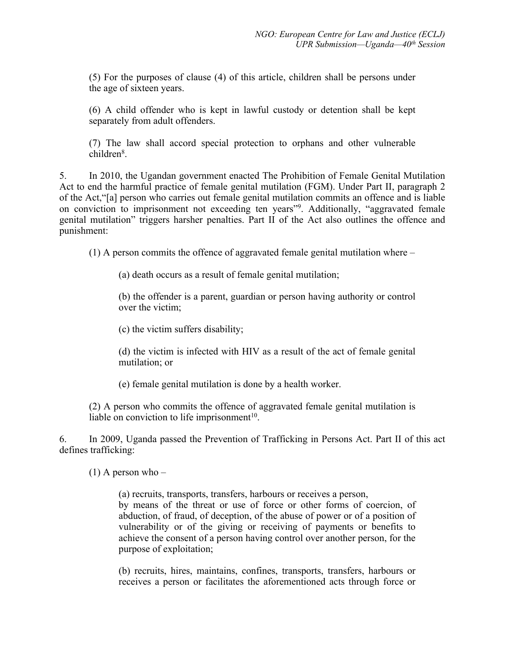(5) For the purposes of clause (4) of this article, children shall be persons under the age of sixteen years.

(6) A child offender who is kept in lawful custody or detention shall be kept separately from adult offenders.

(7) The law shall accord special protection to orphans and other vulnerable children<sup>8</sup>.

5. In 2010, the Ugandan governmen<sup>t</sup> enacted The Prohibition of Female Genital Mutilation Act to end the harmful practice of female genital mutilation (FGM). Under Part II, paragraph 2 of the Act,"[a] person who carries out female genital mutilation commits an offence and is liable on conviction to imprisonment not exceeding ten years"<sup>9</sup> . Additionally, "aggravated female genital mutilation" triggers harsher penalties. Part II of the Act also outlines the offence and punishment:

(1) A person commits the offence of aggravated female genital mutilation where –

(a) death occurs as <sup>a</sup> result of female genital mutilation;

(b) the offender is <sup>a</sup> parent, guardian or person having authority or control over the victim;

(c) the victim suffers disability;

(d) the victim is infected with HIV as <sup>a</sup> result of the act of female genital mutilation; or

(e) female genital mutilation is done by <sup>a</sup> health worker.

(2) A person who commits the offence of aggravated female genital mutilation is liable on conviction to life imprisonment<sup>10</sup>.

6. In 2009, Uganda passed the Prevention of Trafficking in Persons Act. Part II of this act defines trafficking:

 $(1)$  A person who –

(a) recruits, transports, transfers, harbours or receives <sup>a</sup> person, by means of the threat or use of force or other forms of coercion, of abduction, of fraud, of deception, of the abuse of power or of <sup>a</sup> position of vulnerability or of the giving or receiving of payments or benefits to achieve the consent of <sup>a</sup> person having control over another person, for the purpose of exploitation;

(b) recruits, hires, maintains, confines, transports, transfers, harbours or receives <sup>a</sup> person or facilitates the aforementioned acts through force or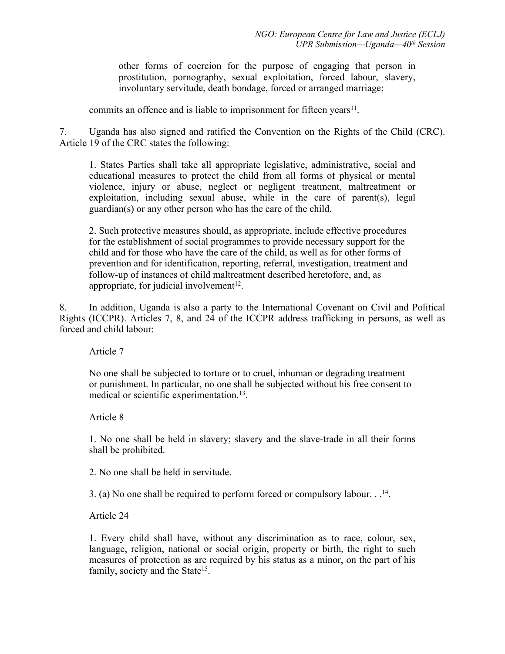other forms of coercion for the purpose of engaging that person in prostitution, pornography, sexual exploitation, forced labour, slavery, involuntary servitude, death bondage, forced or arranged marriage;

commits an offence and is liable to imprisonment for fifteen years<sup>11</sup>.

7. Uganda has also signed and ratified the Convention on the Rights of the Child (CRC). Article 19 of the CRC states the following:

1. States Parties shall take all appropriate legislative, administrative, social and educational measures to protect the child from all forms of physical or mental violence, injury or abuse, neglect or negligent treatment, maltreatment or exploitation, including sexual abuse, while in the care of parent(s), legal guardian(s) or any other person who has the care of the child.

2. Such protective measures should, as appropriate, include effective procedures for the establishment of social programmes to provide necessary suppor<sup>t</sup> for the child and for those who have the care of the child, as well as for other forms of prevention and for identification, reporting, referral, investigation, treatment and follow-up of instances of child maltreatment described heretofore, and, as appropriate, for judicial involvement<sup>12</sup>.

8. In addition, Uganda is also <sup>a</sup> party to the International Covenant on Civil and Political Rights (ICCPR). Articles 7, 8, and 24 of the ICCPR address trafficking in persons, as well as forced and child labour:

Article 7

No one shall be subjected to torture or to cruel, inhuman or degrading treatment or punishment. In particular, no one shall be subjected without his free consent to medical or scientific experimentation.<sup>13</sup>.

Article 8

1. No one shall be held in slavery; slavery and the slave-trade in all their forms shall be prohibited.

2. No one shall be held in servitude.

3. (a) No one shall be required to perform forced or compulsory labour.  $.14$ .

Article 24

1. Every child shall have, without any discrimination as to race, colour, sex, language, religion, national or social origin, property or birth, the right to such measures of protection as are required by his status as <sup>a</sup> minor, on the par<sup>t</sup> of his family, society and the State<sup>15</sup>.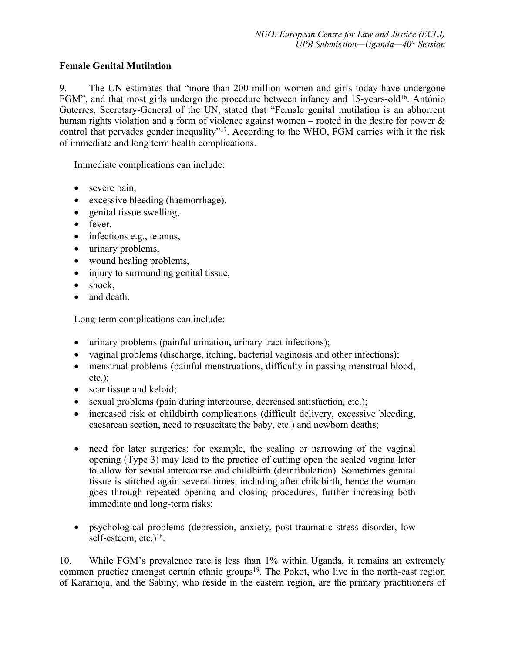# **Female Genital Mutilation**

9. The UN estimates that "more than 200 million women and girls today have undergone FGM", and that most girls undergo the procedure between infancy and 15-years-old<sup>16</sup>. António Guterres, Secretary-General of the UN, stated that "Female genital mutilation is an abhorrent human rights violation and a form of violence against women – rooted in the desire for power & control that pervades gender inequality"<sup>17</sup>. According to the WHO, FGM carries with it the risk of immediate and long term health complications.

Immediate complications can include:

- severe pain,
- excessive bleeding (haemorrhage),
- genital tissue swelling,
- $\bullet$  fever,
- infections e.g., tetanus,
- urinary problems,
- wound healing problems,
- injury to surrounding genital tissue,
- shock,
- and death.

Long-term complications can include:

- urinary problems (painful urination, urinary tract infections);
- vaginal problems (discharge, itching, bacterial vaginosis and other infections);
- menstrual problems (painful menstruations, difficulty in passing menstrual blood, etc.);
- scar tissue and keloid;
- sexual problems (pain during intercourse, decreased satisfaction, etc.);
- increased risk of childbirth complications (difficult delivery, excessive bleeding, caesarean section, need to resuscitate the baby, etc.) and newborn deaths;
- need for later surgeries: for example, the sealing or narrowing of the vaginal opening (Type 3) may lead to the practice of cutting open the sealed vagina later to allow for sexual intercourse and childbirth (deinfibulation). Sometimes genital tissue is stitched again several times, including after childbirth, hence the woman goes through repeated opening and closing procedures, further increasing both immediate and long-term risks;
- psychological problems (depression, anxiety, post-traumatic stress disorder, low self-esteem, etc.)<sup>18</sup>.

10. While FGM'<sup>s</sup> prevalence rate is less than 1% within Uganda, it remains an extremely common practice amongst certain ethnic groups<sup>19</sup>. The Pokot, who live in the north-east region of Karamoja, and the Sabiny, who reside in the eastern region, are the primary practitioners of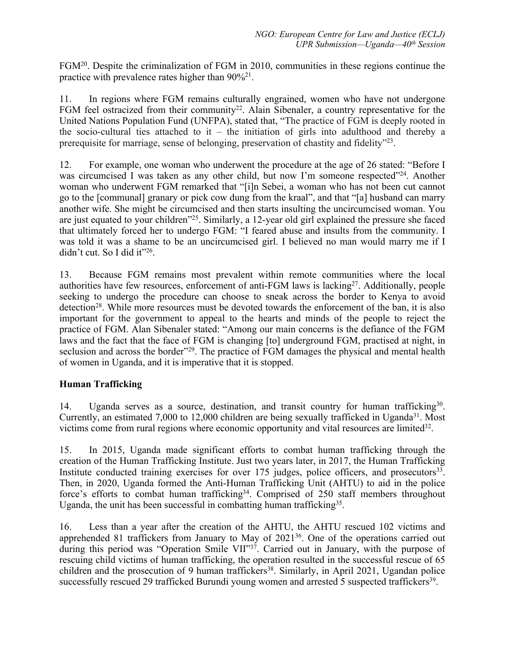FGM<sup>20</sup>. Despite the criminalization of FGM in 2010, communities in these regions continue the practice with prevalence rates higher than  $90\%^{21}$ .

11. In regions where FGM remains culturally engrained, women who have not undergone FGM feel ostracized from their community<sup>22</sup>. Alain Sibenaler, a country representative for the United Nations Population Fund (UNFPA), stated that, "The practice of FGM is deeply rooted in the socio-cultural ties attached to it – the initiation of girls into adulthood and thereby a prerequisite for marriage, sense of belonging, preservation of chastity and fidelity"<sup>23</sup>.

12. For example, one woman who underwent the procedure at the age of 26 stated: "Before I was circumcised I was taken as any other child, but now I'm someone respected"<sup>24</sup>. Another woman who underwent FGM remarked that "[i]n Sebei, <sup>a</sup> woman who has not been cut cannot go to the [communal] granary or pick cow dung from the kraal", and that "[a] husband can marry another wife. She might be circumcised and then starts insulting the uncircumcised woman. You are just equated to your children"<sup>25</sup>. Similarly, a 12-year old girl explained the pressure she faced that ultimately forced her to undergo FGM: "I feared abuse and insults from the community. I was told it was <sup>a</sup> shame to be an uncircumcised girl. I believed no man would marry me if I didn't cut. So I did it"<sup>26</sup> .

13. Because FGM remains most prevalent within remote communities where the local authorities have few resources, enforcement of anti-FGM laws is lacking<sup>27</sup>. Additionally, people seeking to undergo the procedure can choose to sneak across the border to Kenya to avoid detection<sup>28</sup>. While more resources must be devoted towards the enforcement of the ban, it is also important for the governmen<sup>t</sup> to appeal to the hearts and minds of the people to reject the practice of FGM. Alan Sibenaler stated: "Among our main concerns is the defiance of the FGM laws and the fact that the face of FGM is changing [to] underground FGM, practised at night, in seclusion and across the border"<sup>29</sup>. The practice of FGM damages the physical and mental health of women in Uganda, and it is imperative that it is stopped.

## **Human Trafficking**

14. Uganda serves as a source, destination, and transit country for human trafficking<sup>30</sup>. Currently, an estimated 7,000 to 12,000 children are being sexually trafficked in Uganda<sup>31</sup>. Most victims come from rural regions where economic opportunity and vital resources are limited $32$ .

15. In 2015, Uganda made significant efforts to combat human trafficking through the creation of the Human Trafficking Institute. Just two years later, in 2017, the Human Trafficking Institute conducted training exercises for over 175 judges, police officers, and prosecutors<sup>33</sup>. Then, in 2020, Uganda formed the Anti-Human Trafficking Unit (AHTU) to aid in the police force's efforts to combat human trafficking<sup>34</sup>. Comprised of 250 staff members throughout Uganda, the unit has been successful in combatting human trafficking<sup>35</sup>.

16. Less than <sup>a</sup> year after the creation of the AHTU, the AHTU rescued 102 victims and apprehended 81 traffickers from January to May of 2021<sup>36</sup>. One of the operations carried out during this period was "Operation Smile VII"<sup>37</sup> . Carried out in January, with the purpose of rescuing child victims of human trafficking, the operation resulted in the successful rescue of 65 children and the prosecution of 9 human traffickers 38 . Similarly, in April 2021, Ugandan police successfully rescued 29 trafficked Burundi young women and arrested 5 suspected traffickers 39 .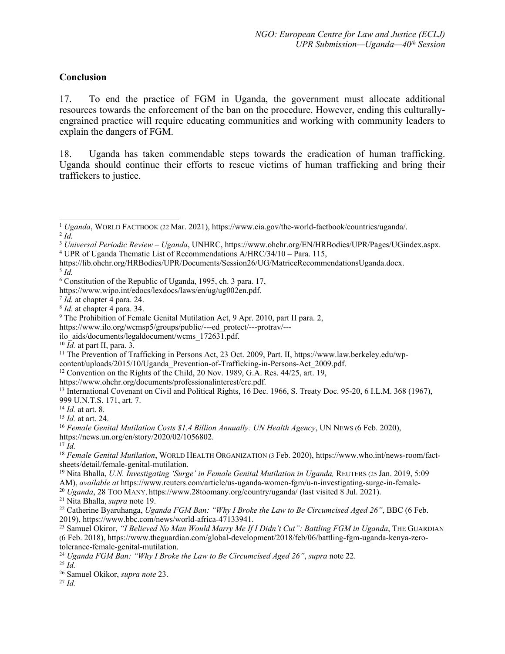### **Conclusion**

17. To end the practice of FGM in Uganda, the governmen<sup>t</sup> must allocate additional resources towards the enforcement of the ban on the procedure. However, ending this culturallyengrained practice will require educating communities and working with community leaders to explain the dangers of FGM.

18. Uganda has taken commendable steps towards the eradication of human trafficking. Uganda should continue their efforts to rescue victims of human trafficking and bring their traffickers to justice.

https://lib.ohchr.org/HRBodies/UPR/Documents/Session26/UG/MatriceRecommendationsUganda.docx.

5 *Id.*

https://www.ilo.org/wcmsp5/groups/public/---ed\_protect/---protrav/---

ilo\_aids/documents/legaldocument/wcms\_172631.pdf.

content/uploads/2015/10/Uganda\_Prevention-of-Trafficking-in-Persons-Act\_2009.pdf.

<sup>19</sup> Nita Bhalla, *U.N. Investigating 'Surge' in Female Genital Mutilation in Uganda,* <sup>R</sup>EUTERS (25 Jan. 2019, 5:09

AM), *available at* https://www.reuters.com/article/us-uganda-women-fgm/u-n-investigating-surge-in-female-

<sup>20</sup> *Uganda*, 28 <sup>T</sup>OO <sup>M</sup>ANY, [https://www.28toomany.org/country/uganda/](about:blank) (last visited 8 Jul. 2021).

<sup>21</sup> Nita Bhalla, *supra* note 19.

- <sup>22</sup> Catherine Byaruhanga, *Uganda FGM Ban: "Why <sup>I</sup> Broke the Law to Be Circumcised Aged 26"*, BBC (6 Feb.
- 2019), https://www.bbc.com/news/world-africa-47133941.<br><sup>23</sup> Samuel Okiror, *"I Believed No Man Would Marry Me If I Didn't Cut": Battling FGM in Uganda*, THE GUARDIAN (6 Feb. 2018), https://www.theguardian.com/global-development/2018/feb/06/battling-fgm-uganda-kenya-zerotolerance-female-genital-mutilation.

27 *Id.*

<sup>1</sup> *Uganda*, <sup>W</sup>ORLD <sup>F</sup>ACTBOOK (22 Mar. 2021), https://www.cia.gov/the-world-factbook/countries/uganda/. 2 *Id.*

<sup>3</sup> *Universal Periodic Review – Uganda*, UNHRC, https://www.ohchr.org/EN/HRBodies/UPR/Pages/UGindex.aspx. <sup>4</sup> UPR of Uganda Thematic List of Recommendations A/HRC/34/10 – Para. 115,

<sup>6</sup> Constitution of the Republic of Uganda, 1995, ch. 3 para. 17,

https://www.wipo.int/edocs/lexdocs/laws/en/ug/ug002en.pdf.

<sup>7</sup> *Id.* at chapter 4 para. 24.

<sup>8</sup> *Id.* at chapter 4 para. 34.

<sup>&</sup>lt;sup>9</sup> The Prohibition of Female Genital Mutilation Act, 9 Apr. 2010, part II para. 2,

<sup>10</sup> *Id.* at par<sup>t</sup> II, para. 3.

<sup>11</sup> The Prevention of Trafficking in Persons Act, 23 Oct. 2009, Part. II, https://www.law.berkeley.edu/wp-

<sup>&</sup>lt;sup>12</sup> Convention on the Rights of the Child, 20 Nov. 1989, G.A. Res.  $44/25$ , art. 19,

https://www.ohchr.org/documents/professionalinterest/crc.pdf.

<sup>&</sup>lt;sup>13</sup> International Covenant on Civil and Political Rights, 16 Dec. 1966, S. Treaty Doc. 95-20, 6 I.L.M. 368 (1967), 999 U.N.T.S. 171, art. 7.

<sup>14</sup> *Id.* at art. 8.

<sup>15</sup> *Id.* at art. 24.

<sup>16</sup> *Female Genital Mutilation Costs \$1.4 Billion Annually: UN Health Agency*, UN NEWS (6 Feb. 2020),

https://news.un.org/en/story/2020/02/1056802.

<sup>17</sup> *Id.*

<sup>18</sup> *Female Genital Mutilation*, WORLD HEALTH ORGANIZATION (3Feb. 2020), https://www.who.int/news-room/factsheets/detail/female-genital-mutilation.

<sup>24</sup> *Uganda FGM Ban: "Why <sup>I</sup> Broke the Law to Be Circumcised Aged 26"*, *supra* note 22.

<sup>25</sup> *Id.*

<sup>26</sup> Samuel Okikor, *supra note* 23.